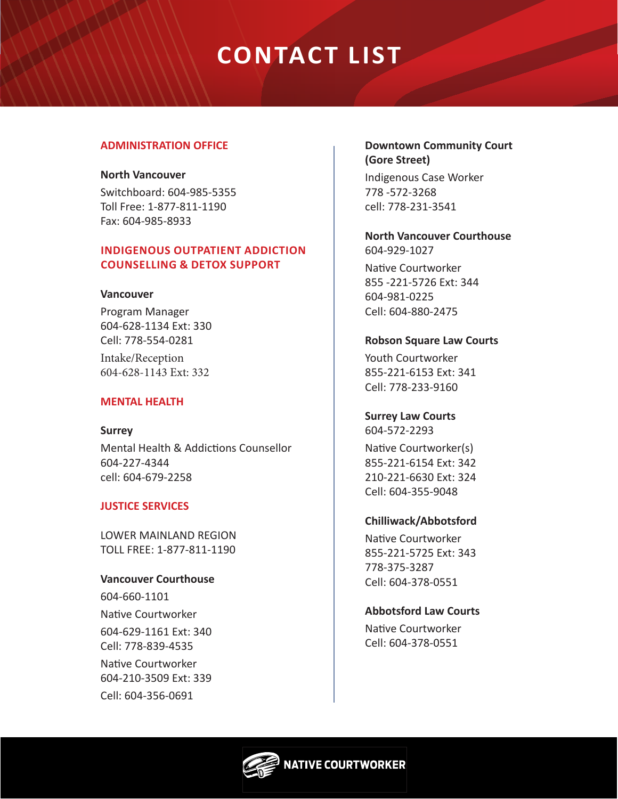# **CONTACT LIST**

#### **ADMINISTRATION OFFICE**

#### **North Vancouver**

Switchboard: 604-985-5355 Toll Free: 1-877-811-1190 Fax: 604-985-8933

# **INDIGENOUS OUTPATIENT ADDICTION COUNSELLING & DETOX SUPPORT**

#### **Vancouver**

Program Manager 604-628-1134 Ext: 330 Cell: 778-554-0281 Intake/Reception 604-628-1143 Ext: 332

#### **MENTAL HEALTH**

**Surrey** Mental Health & Addictions Counsellor 604-227-4344 cell: 604-679-2258

#### **JUSTICE SERVICES**

LOWER MAINLAND REGION TOLL FREE: 1-877-811-1190

#### **Vancouver Courthouse**

604-660-1101 Native Courtworker 604-629-1161 Ext: 340 Cell: 778-839-4535 Native Courtworker 604-210-3509 Ext: 339 Cell: 604-356-0691

#### **Downtown Community Court (Gore Street)**

Indigenous Case Worker 778 -572-3268 cell: 778-231-3541

**North Vancouver Courthouse** 604-929-1027

Native Courtworker 855 -221-5726 Ext: 344 604-981-0225 Cell: 604-880-2475

#### **Robson Square Law Courts**

Youth Courtworker 855-221-6153 Ext: 341 Cell: 778-233-9160

# **Surrey Law Courts**

604-572-2293

Native Courtworker(s) 855-221-6154 Ext: 342 210-221-6630 Ext: 324 Cell: 604-355-9048

# **Chilliwack/Abbotsford**

Native Courtworker 855-221-5725 Ext: 343 778-375-3287 Cell: 604-378-0551

# **Abbotsford Law Courts**

Native Courtworker Cell: 604-378-0551

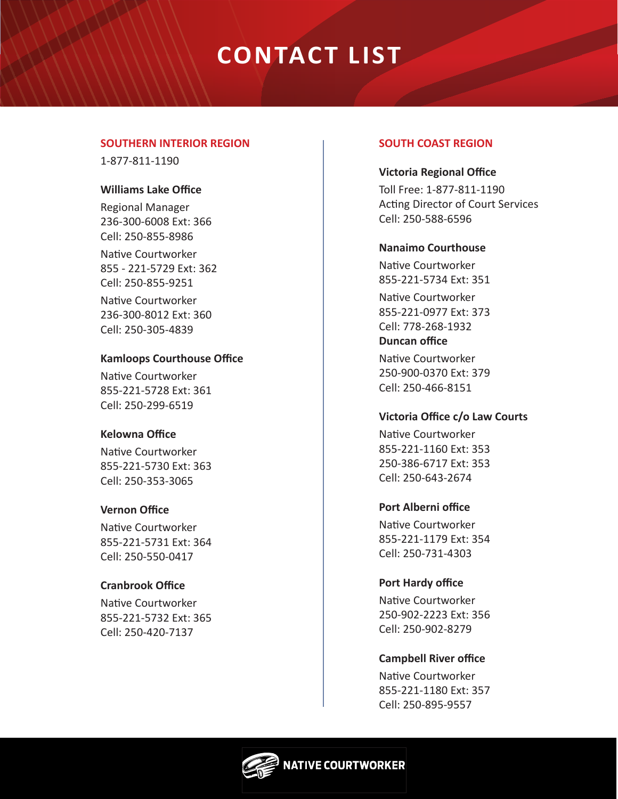# **CONTACT LIST**

#### **SOUTHERN INTERIOR REGION**

1-877-811-1190

#### **Williams Lake Office**

Regional Manager 236-300-6008 Ext: 366 Cell: 250-855-8986

Native Courtworker 855 - 221-5729 Ext: 362 Cell: 250-855-9251

Native Courtworker 236-300-8012 Ext: 360 Cell: 250-305-4839

# **Kamloops Courthouse Office**

Native Courtworker 855-221-5728 Ext: 361 Cell: 250-299-6519

# **Kelowna Office**

Native Courtworker 855-221-5730 Ext: 363 Cell: 250-353-3065

# **Vernon Office**

Native Courtworker 855-221-5731 Ext: 364 Cell: 250-550-0417

# **Cranbrook Office**

Native Courtworker 855-221-5732 Ext: 365 Cell: 250-420-7137

# **SOUTH COAST REGION**

# **Victoria Regional Office**

Toll Free: 1-877-811-1190 Acting Director of Court Services Cell: 250-588-6596

#### **Nanaimo Courthouse**

Native Courtworker 855-221-5734 Ext: 351 Native Courtworker 855-221-0977 Ext: 373 Cell: 778-268-1932 **Duncan office**

Native Courtworker 250-900-0370 Ext: 379 Cell: 250-466-8151

# **Victoria Office c/o Law Courts**

Native Courtworker 855-221-1160 Ext: 353 250-386-6717 Ext: 353 Cell: 250-643-2674

# **Port Alberni office**

Native Courtworker 855-221-1179 Ext: 354 Cell: 250-731-4303

# **Port Hardy office**

Native Courtworker 250-902-2223 Ext: 356 Cell: 250-902-8279

# **Campbell River office**

Native Courtworker 855-221-1180 Ext: 357 Cell: 250-895-9557